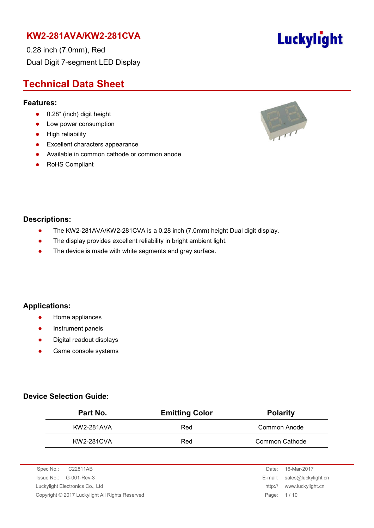0.28 inch (7.0mm), Red Dual Digit 7-segment LED Display

# **Technical Data Sheet**

#### **Features:**

- 0.28" (inch) digit height
- Low power consumption
- **•** High reliability
- **•** Excellent characters appearance
- Available in common cathode or common anode
- RoHS Compliant



#### **Descriptions:**

- The KW2-281AVA/KW2-281CVA is a 0.28 inch (7.0mm) height Dual digit display.
- The display provides excellent reliability in bright ambient light.
- The device is made with white segments and gray surface.

#### **Applications:**

- **•** Home appliances
- **•** Instrument panels
- Digital readout displays
- **•** Game console systems

#### **Device Selection Guide:**

| Part No.   | <b>Emitting Color</b> | <b>Polarity</b> |
|------------|-----------------------|-----------------|
| KW2-281AVA | Red                   | Common Anode    |
| KW2-281CVA | Red                   | Common Cathode  |

| Spec No.:<br>C22811AB                           | Date:   | 16-Mar-2017                 |
|-------------------------------------------------|---------|-----------------------------|
| $\ssue No.: \, G-001-Rev-3$                     |         | E-mail: sales@luckylight.cn |
| Luckylight Electronics Co., Ltd                 | http:// | www.luckylight.cn           |
| Copyright © 2017 Luckylight All Rights Reserved |         | Page: 1/10                  |
|                                                 |         |                             |

# **Luckylight**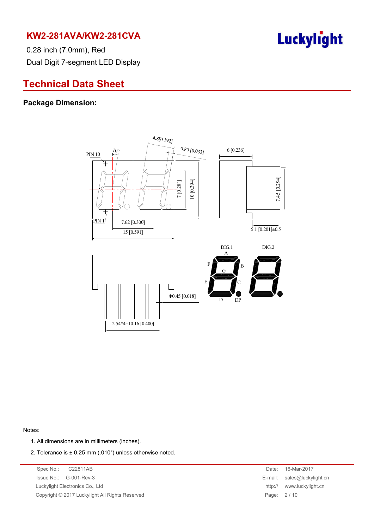

0.28 inch (7.0mm), Red Dual Digit 7-segment LED Display

# **Technical Data Sheet**

#### **Package Dimension:**



Notes:

- 1. All dimensions are in millimeters (inches).
- 2. Tolerance is  $\pm$  0.25 mm (.010") unless otherwise noted.

Spec No.: C22811AB Date: 16-Mar-2017 Issue No.: G-001-Rev-3 E-mail: sales@luckylight.cn Luckylight Electronics Co., Ltd **http:// www.luckylight.cn** Copyright © 2017 Luckylight All Rights Reserved Page: 2 / 10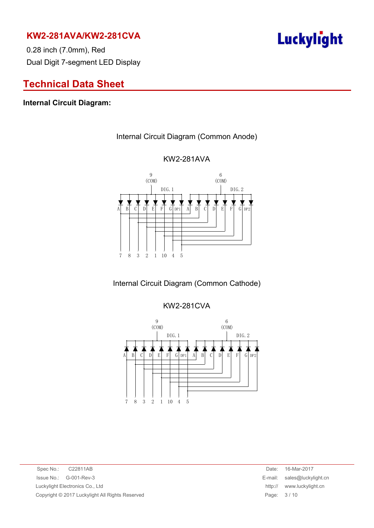0.28 inch (7.0mm), Red Dual Digit 7-segment LED Display

# **Technical Data Sheet**

#### **Internal Circuit Diagram:**

#### Internal Circuit Diagram (Common Anode)



#### KW2-281AVA

# Internal Circuit Diagram (Common Cathode)

#### KW2-281CVA



Spec No.: C22811AB Date: 16-Mar-2017 Issue No.: G-001-Rev-3 E-mail: sales@luckylight.cn Luckylight Electronics Co., Ltd http:// www.luckylight.cn Copyright © 2017 Luckylight All Rights Reserved Page: 3 / 10

# Luckylight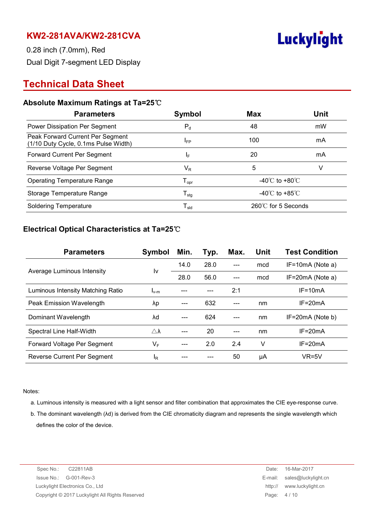

0.28 inch (7.0mm), Red Dual Digit 7-segment LED Display

# **Technical Data Sheet**

#### **Absolute Maximum Ratings at Ta=25**℃

| <b>Parameters</b>                                                        | Symbol                       | <b>Max</b>                         | Unit |
|--------------------------------------------------------------------------|------------------------------|------------------------------------|------|
| Power Dissipation Per Segment                                            | $P_d$                        | 48                                 | mW   |
| Peak Forward Current Per Segment<br>(1/10 Duty Cycle, 0.1ms Pulse Width) | <b>IFP</b>                   | 100                                | mA   |
| Forward Current Per Segment                                              | IF.                          | 20                                 | mA   |
| Reverse Voltage Per Segment                                              | $\mathsf{V}_\mathsf{R}$      | 5                                  | v    |
| <b>Operating Temperature Range</b>                                       | ${\mathsf T}_{\mathsf{opr}}$ | -40 $\degree$ C to +80 $\degree$ C |      |
| Storage Temperature Range                                                | ${\mathsf T}_{\text{stg}}$   | $-40^{\circ}$ C to $+85^{\circ}$ C |      |
| <b>Soldering Temperature</b>                                             | $\mathsf{T}_{\mathsf{sld}}$  | 260℃ for 5 Seconds                 |      |

#### **Electrical Optical Characteristics at Ta=25**℃

| <b>Parameters</b>                 | Symbol              | Min. | Typ. | Max. | Unit | <b>Test Condition</b> |
|-----------------------------------|---------------------|------|------|------|------|-----------------------|
|                                   | I٧                  | 14.0 | 28.0 |      | mcd  | $IF=10mA$ (Note a)    |
| Average Luminous Intensity        |                     | 28.0 | 56.0 | ---  | mcd  | $IF=20mA$ (Note a)    |
| Luminous Intensity Matching Ratio | $I_{v-m}$           |      |      | 2:1  |      | $IF=10mA$             |
| Peak Emission Wavelength          | λp                  |      | 632  |      | nm   | $IF = 20mA$           |
| Dominant Wavelength               | λd                  |      | 624  |      | nm   | IF=20mA (Note b)      |
| Spectral Line Half-Width          | $\triangle \lambda$ |      | 20   |      | nm   | $IF = 20mA$           |
| Forward Voltage Per Segment       | $V_F$               |      | 2.0  | 2.4  | V    | $IF = 20mA$           |
| Reverse Current Per Segment       | <sup>I</sup> R      |      |      | 50   | μA   | $VR=5V$               |

Notes:

- a. Luminous intensity is measured with a light sensor and filter combination that approximates the CIE eye-response curve.
- b. The dominant wavelength (λd) is derived from the CIE chromaticity diagram and represents the single wavelength which defines the color of the device.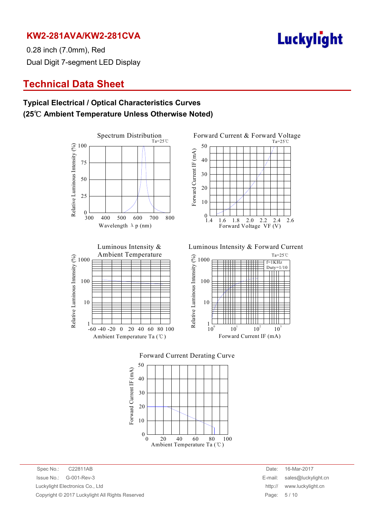

0.28 inch (7.0mm), Red Dual Digit 7-segment LED Display

# **Technical Data Sheet**

### **Typical Electrical / Optical Characteristics Curves (25**℃ **Ambient Temperature Unless Otherwise Noted)**







Luminous Intensity & Forward Current







Spec No.: C22811AB Date: 16-Mar-2017 Issue No.: G-001-Rev-3 E-mail: sales@luckylight.cn Luckylight Electronics Co., Ltd http:// www.luckylight.cn Copyright © 2017 Luckylight All Rights Reserved **Page: 5 / 10** Page: 5 / 10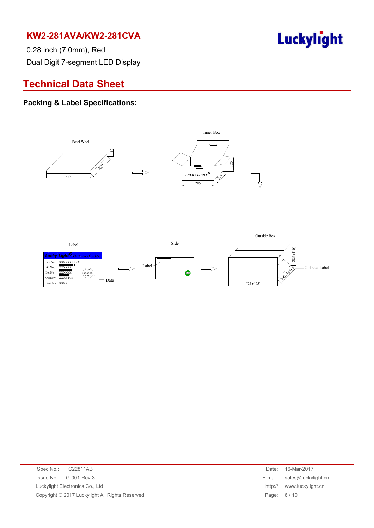Luckylight

0.28 inch (7.0mm), Red Dual Digit 7-segment LED Display

# **Technical Data Sheet**

#### **Packing & Label Specifications:**



| Spec No.: C22811AB                              |  | Date:      | 16-Mar-2017                 |
|-------------------------------------------------|--|------------|-----------------------------|
| $\ssue No.: \qquad G-001-Rev-3$                 |  |            | E-mail: sales@luckylight.cn |
| Luckylight Electronics Co., Ltd                 |  | http://    | www.luckylight.cn           |
| Copyright © 2017 Luckylight All Rights Reserved |  | Page: 6/10 |                             |
|                                                 |  |            |                             |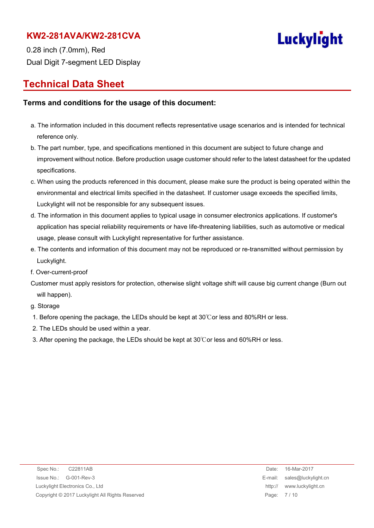

0.28 inch (7.0mm), Red Dual Digit 7-segment LED Display

# **Technical Data Sheet**

#### **Terms and conditions for the usage of this document:**

- a. The information included in this document reflects representative usage scenarios and is intended for technical reference only.
- b. The part number, type, and specifications mentioned in this document are subject to future change and improvement without notice. Before production usage customer should refer to the latest datasheet for the updated specifications.
- c. When using the products referenced in this document, please make sure the product is being operated within the environmental and electrical limits specified in the datasheet. If customer usage exceeds the specified limits, Luckylight will not be responsible for any subsequent issues.
- d. The information in this document applies to typical usage in consumer electronics applications. If customer's application has special reliability requirements or have life-threatening liabilities, such as automotive or medical usage, please consult with Luckylight representative for further assistance.
- e. The contents and information of this document may not be reproduced or re-transmitted without permission by Luckylight.
- f. Over-current-proof
- Customer must apply resistors for protection, otherwise slight voltage shift will cause big current change (Burn out will happen).

g. Storage

- 1. Before opening the package, the LEDs should be kept at 30℃or less and 80%RH or less.
- 2. The LEDs should be used within a year.
- 3. After opening the package, the LEDs should be kept at 30℃or less and 60%RH or less.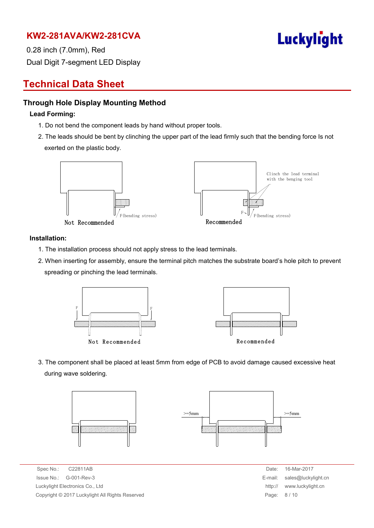

0.28 inch (7.0mm), Red Dual Digit 7-segment LED Display

# **Technical Data Sheet**

#### **Through Hole Display Mounting Method**

#### **Lead Forming:**

- 1. Do not bend the component leads by hand without proper tools.
- 2. The leads should be bent by clinching the upper part of the lead firmly such that the bending force Is not exerted on the plastic body.



#### **Installation:**

- 1. The installation process should not apply stress to the lead terminals.
- 2. When inserting for assembly, ensure the terminal pitch matches the substrate board's hole pitch to prevent spreading or pinching the lead terminals.



3. The component shall be placed at least 5mm from edge of PCB to avoid damage caused excessive heat during wave soldering.



Spec No.: C22811AB Date: 16-Mar-2017  $Is sue No.: G-001-Rev-3$ Luckylight Electronics Co., Ltd. Copyright © 2017 Luckylight All Rights Reserved

| Date:   | 16-Mar-2017         |
|---------|---------------------|
| E-mail: | sales@luckylight.cn |
| http:// | www.luckylight.cn   |
| Page:   | 8/10                |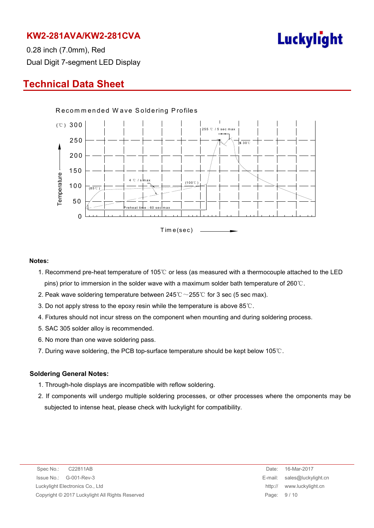

0.28 inch (7.0mm), Red Dual Digit 7-segment LED Display

# **Technical Data Sheet**



#### **Notes:**

- 1. Recommend pre-heat temperature of 105℃ or less (as measured with a thermocouple attached to the LED pins) prior to immersion in the solder wave with a maximum solder bath temperature of 260℃.
- 2. Peak wave soldering temperature between  $245^{\circ}\text{C} \sim 255^{\circ}\text{C}$  for 3 sec (5 sec max).
- 3. Do not apply stress to the epoxy resin while the temperature is above 85℃.
- 4. Fixtures should not incur stress on the component when mounting and during soldering process.
- 5. SAC 305 solder alloy is recommended.
- 6. No more than one wave soldering pass.
- 7. During wave soldering, the PCB top-surface temperature should be kept below 105℃.

#### **Soldering General Notes:**

- 1. Through-hole displays are incompatible with reflow soldering.
- 2. If components will undergo multiple soldering processes, or other processes where the omponents may be subjected to intense heat, please check with luckylight for compatibility.